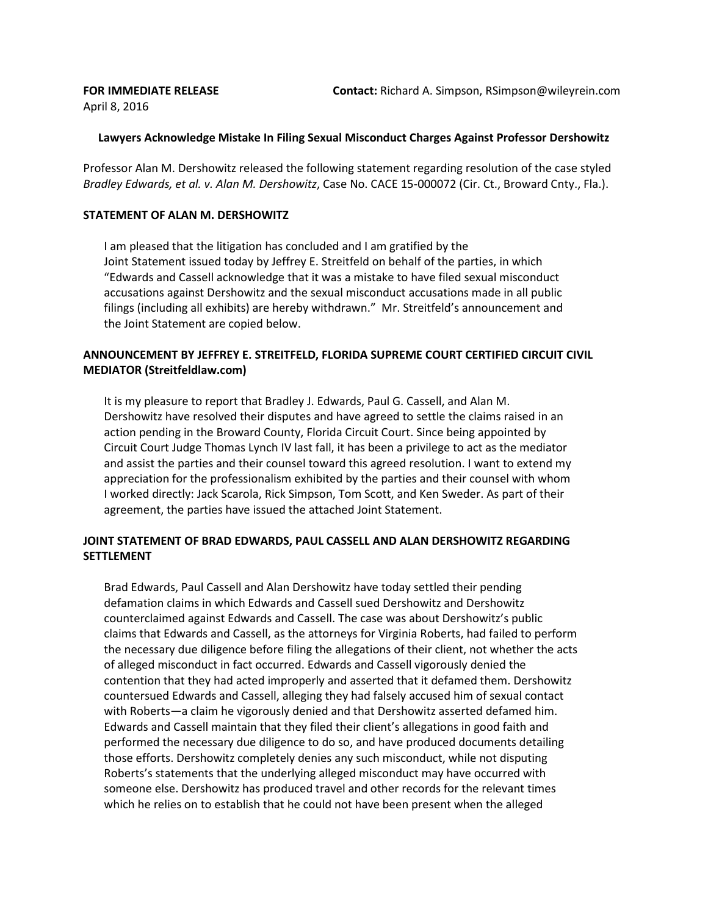April 8, 2016

## **Lawyers Acknowledge Mistake In Filing Sexual Misconduct Charges Against Professor Dershowitz**

Professor Alan M. Dershowitz released the following statement regarding resolution of the case styled *Bradley Edwards, et al. v. Alan M. Dershowitz*, Case No. CACE 15-000072 (Cir. Ct., Broward Cnty., Fla.).

## **STATEMENT OF ALAN M. DERSHOWITZ**

I am pleased that the litigation has concluded and I am gratified by the Joint Statement issued today by Jeffrey E. Streitfeld on behalf of the parties, in which "Edwards and Cassell acknowledge that it was a mistake to have filed sexual misconduct accusations against Dershowitz and the sexual misconduct accusations made in all public filings (including all exhibits) are hereby withdrawn." Mr. Streitfeld's announcement and the Joint Statement are copied below.

## **ANNOUNCEMENT BY JEFFREY E. STREITFELD, FLORIDA SUPREME COURT CERTIFIED CIRCUIT CIVIL MEDIATOR (Streitfeldlaw.com)**

It is my pleasure to report that Bradley J. Edwards, Paul G. Cassell, and Alan M. Dershowitz have resolved their disputes and have agreed to settle the claims raised in an action pending in the Broward County, Florida Circuit Court. Since being appointed by Circuit Court Judge Thomas Lynch IV last fall, it has been a privilege to act as the mediator and assist the parties and their counsel toward this agreed resolution. I want to extend my appreciation for the professionalism exhibited by the parties and their counsel with whom I worked directly: Jack Scarola, Rick Simpson, Tom Scott, and Ken Sweder. As part of their agreement, the parties have issued the attached Joint Statement.

## **JOINT STATEMENT OF BRAD EDWARDS, PAUL CASSELL AND ALAN DERSHOWITZ REGARDING SETTLEMENT**

Brad Edwards, Paul Cassell and Alan Dershowitz have today settled their pending defamation claims in which Edwards and Cassell sued Dershowitz and Dershowitz counterclaimed against Edwards and Cassell. The case was about Dershowitz's public claims that Edwards and Cassell, as the attorneys for Virginia Roberts, had failed to perform the necessary due diligence before filing the allegations of their client, not whether the acts of alleged misconduct in fact occurred. Edwards and Cassell vigorously denied the contention that they had acted improperly and asserted that it defamed them. Dershowitz countersued Edwards and Cassell, alleging they had falsely accused him of sexual contact with Roberts—a claim he vigorously denied and that Dershowitz asserted defamed him. Edwards and Cassell maintain that they filed their client's allegations in good faith and performed the necessary due diligence to do so, and have produced documents detailing those efforts. Dershowitz completely denies any such misconduct, while not disputing Roberts's statements that the underlying alleged misconduct may have occurred with someone else. Dershowitz has produced travel and other records for the relevant times which he relies on to establish that he could not have been present when the alleged